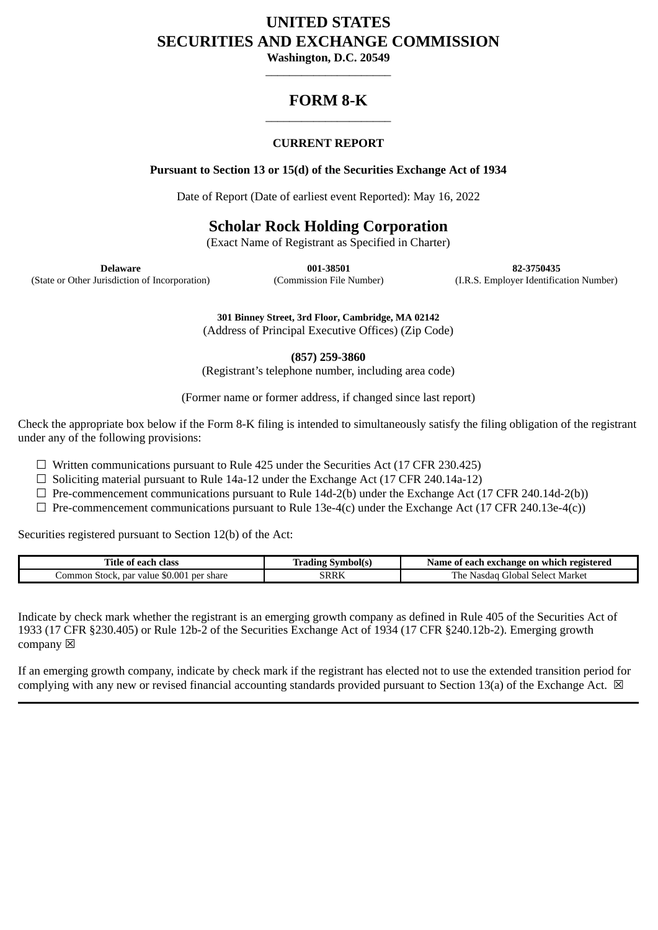# **UNITED STATES SECURITIES AND EXCHANGE COMMISSION**

**Washington, D.C. 20549**  $\overline{\phantom{a}}$  , we can also the contract of  $\overline{\phantom{a}}$ 

# **FORM 8-K**  $\overline{\phantom{a}}$  , we can also the contract of  $\overline{\phantom{a}}$

## **CURRENT REPORT**

#### **Pursuant to Section 13 or 15(d) of the Securities Exchange Act of 1934**

Date of Report (Date of earliest event Reported): May 16, 2022

# **Scholar Rock Holding Corporation**

(Exact Name of Registrant as Specified in Charter)

**Delaware 001-38501 82-3750435**

(State or Other Jurisdiction of Incorporation) (Commission File Number) (I.R.S. Employer Identification Number)

**301 Binney Street, 3rd Floor, Cambridge, MA 02142** (Address of Principal Executive Offices) (Zip Code)

**(857) 259-3860**

(Registrant's telephone number, including area code)

(Former name or former address, if changed since last report)

Check the appropriate box below if the Form 8-K filing is intended to simultaneously satisfy the filing obligation of the registrant under any of the following provisions:

 $\Box$  Written communications pursuant to Rule 425 under the Securities Act (17 CFR 230.425)

 $\Box$  Soliciting material pursuant to Rule 14a-12 under the Exchange Act (17 CFR 240.14a-12)

 $\Box$  Pre-commencement communications pursuant to Rule 14d-2(b) under the Exchange Act (17 CFR 240.14d-2(b))

 $\Box$  Pre-commencement communications pursuant to Rule 13e-4(c) under the Exchange Act (17 CFR 240.13e-4(c))

Securities registered pursuant to Section 12(b) of the Act:

| marka (<br>ritle<br>class<br>each<br>- 01                 | Symbol(s<br>`radıne | registered<br>ı exchange on '<br>each<br>Name<br>which<br>0Ī |
|-----------------------------------------------------------|---------------------|--------------------------------------------------------------|
| .ი $0.001$<br>par value<br>per share<br>. ommon<br>Stock. | SRRK                | $\sim$<br>. Select Market<br>Globai<br>. ne<br>Nasdad        |

Indicate by check mark whether the registrant is an emerging growth company as defined in Rule 405 of the Securities Act of 1933 (17 CFR §230.405) or Rule 12b-2 of the Securities Exchange Act of 1934 (17 CFR §240.12b-2). Emerging growth company  $\boxtimes$ 

If an emerging growth company, indicate by check mark if the registrant has elected not to use the extended transition period for complying with any new or revised financial accounting standards provided pursuant to Section 13(a) of the Exchange Act.  $\boxtimes$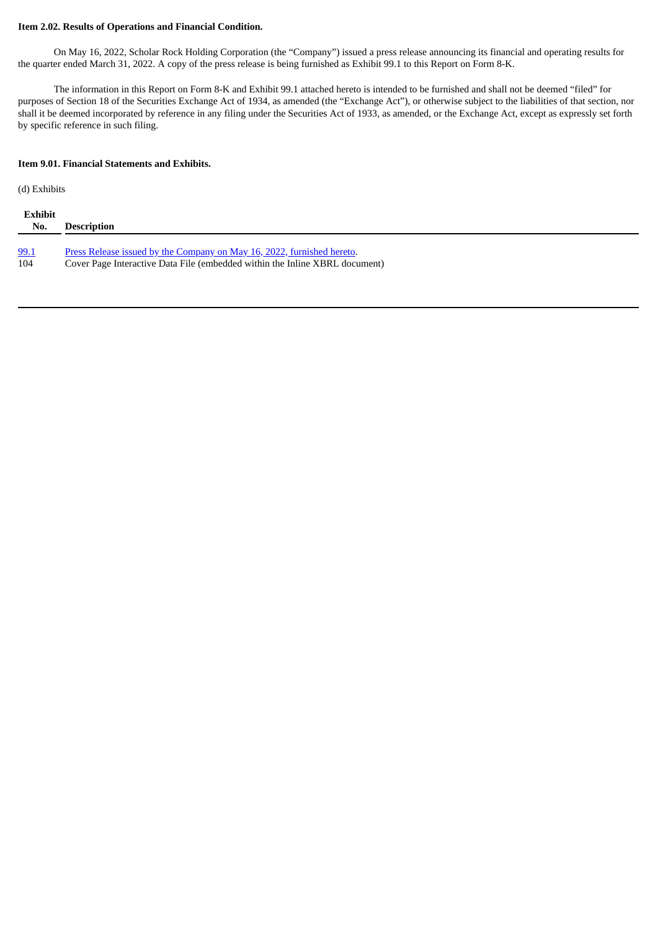#### **Item 2.02. Results of Operations and Financial Condition.**

On May 16, 2022, Scholar Rock Holding Corporation (the "Company") issued a press release announcing its financial and operating results for the quarter ended March 31, 2022. A copy of the press release is being furnished as Exhibit 99.1 to this Report on Form 8-K.

The information in this Report on Form 8-K and Exhibit 99.1 attached hereto is intended to be furnished and shall not be deemed "filed" for purposes of Section 18 of the Securities Exchange Act of 1934, as amended (the "Exchange Act"), or otherwise subject to the liabilities of that section, nor shall it be deemed incorporated by reference in any filing under the Securities Act of 1933, as amended, or the Exchange Act, except as expressly set forth by specific reference in such filing.

#### **Item 9.01. Financial Statements and Exhibits.**

(d) Exhibits

| Exhibit     |                                                                               |
|-------------|-------------------------------------------------------------------------------|
| No.         | <b>Description</b>                                                            |
|             |                                                                               |
| <u>99.1</u> | <u>Press Release issued by the Company on May 16, 2022, furnished hereto.</u> |
| 104         | Cover Page Interactive Data File (embedded within the Inline XBRL document)   |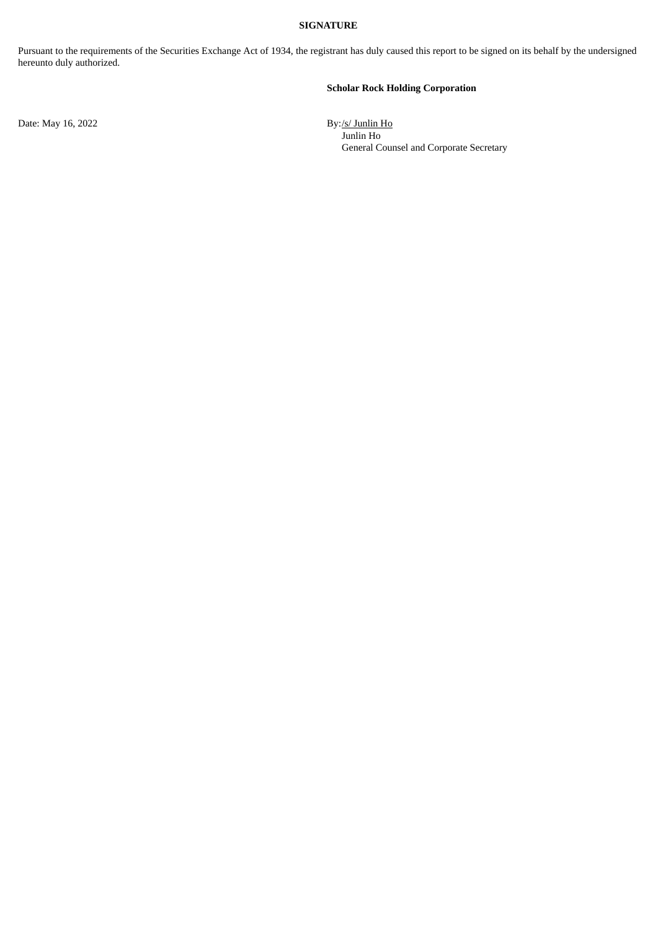#### **SIGNATURE**

Pursuant to the requirements of the Securities Exchange Act of 1934, the registrant has duly caused this report to be signed on its behalf by the undersigned hereunto duly authorized.

#### **Scholar Rock Holding Corporation**

Date: May 16, 2022 By:/s/ Junlin Ho

Junlin Ho General Counsel and Corporate Secretary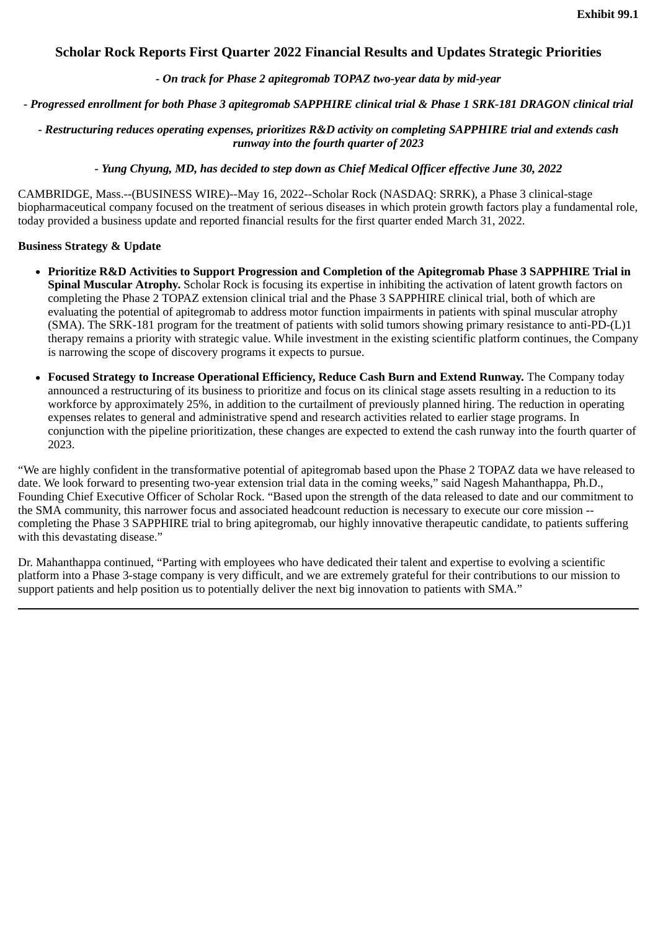## <span id="page-3-0"></span>**Scholar Rock Reports First Quarter 2022 Financial Results and Updates Strategic Priorities**

### *- On track for Phase 2 apitegromab TOPAZ two-year data by mid-year*

*- Progressed enrollment for both Phase 3 apitegromab SAPPHIRE clinical trial & Phase 1 SRK-181 DRAGON clinical trial*

### *- Restructuring reduces operating expenses, prioritizes R&D activity on completing SAPPHIRE trial and extends cash runway into the fourth quarter of 2023*

#### *- Yung Chyung, MD, has decided to step down as Chief Medical Officer effective June 30, 2022*

CAMBRIDGE, Mass.--(BUSINESS WIRE)--May 16, 2022--Scholar Rock (NASDAQ: SRRK), a Phase 3 clinical-stage biopharmaceutical company focused on the treatment of serious diseases in which protein growth factors play a fundamental role, today provided a business update and reported financial results for the first quarter ended March 31, 2022.

#### **Business Strategy & Update**

- **Prioritize R&D Activities to Support Progression and Completion of the Apitegromab Phase 3 SAPPHIRE Trial in Spinal Muscular Atrophy.** Scholar Rock is focusing its expertise in inhibiting the activation of latent growth factors on completing the Phase 2 TOPAZ extension clinical trial and the Phase 3 SAPPHIRE clinical trial, both of which are evaluating the potential of apitegromab to address motor function impairments in patients with spinal muscular atrophy (SMA). The SRK-181 program for the treatment of patients with solid tumors showing primary resistance to anti-PD-(L)1 therapy remains a priority with strategic value. While investment in the existing scientific platform continues, the Company is narrowing the scope of discovery programs it expects to pursue.
- **Focused Strategy to Increase Operational Efficiency, Reduce Cash Burn and Extend Runway.** The Company today announced a restructuring of its business to prioritize and focus on its clinical stage assets resulting in a reduction to its workforce by approximately 25%, in addition to the curtailment of previously planned hiring. The reduction in operating expenses relates to general and administrative spend and research activities related to earlier stage programs. In conjunction with the pipeline prioritization, these changes are expected to extend the cash runway into the fourth quarter of 2023.

"We are highly confident in the transformative potential of apitegromab based upon the Phase 2 TOPAZ data we have released to date. We look forward to presenting two-year extension trial data in the coming weeks," said Nagesh Mahanthappa, Ph.D., Founding Chief Executive Officer of Scholar Rock. "Based upon the strength of the data released to date and our commitment to the SMA community, this narrower focus and associated headcount reduction is necessary to execute our core mission - completing the Phase 3 SAPPHIRE trial to bring apitegromab, our highly innovative therapeutic candidate, to patients suffering with this devastating disease."

Dr. Mahanthappa continued, "Parting with employees who have dedicated their talent and expertise to evolving a scientific platform into a Phase 3-stage company is very difficult, and we are extremely grateful for their contributions to our mission to support patients and help position us to potentially deliver the next big innovation to patients with SMA."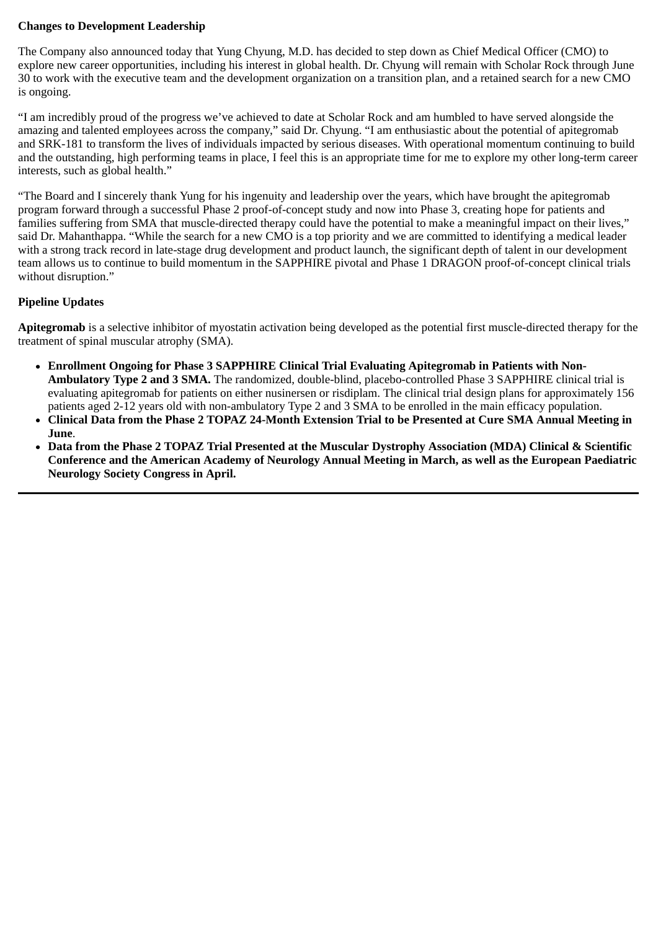## **Changes to Development Leadership**

The Company also announced today that Yung Chyung, M.D. has decided to step down as Chief Medical Officer (CMO) to explore new career opportunities, including his interest in global health. Dr. Chyung will remain with Scholar Rock through June 30 to work with the executive team and the development organization on a transition plan, and a retained search for a new CMO is ongoing.

"I am incredibly proud of the progress we've achieved to date at Scholar Rock and am humbled to have served alongside the amazing and talented employees across the company," said Dr. Chyung. "I am enthusiastic about the potential of apitegromab and SRK-181 to transform the lives of individuals impacted by serious diseases. With operational momentum continuing to build and the outstanding, high performing teams in place, I feel this is an appropriate time for me to explore my other long-term career interests, such as global health."

"The Board and I sincerely thank Yung for his ingenuity and leadership over the years, which have brought the apitegromab program forward through a successful Phase 2 proof-of-concept study and now into Phase 3, creating hope for patients and families suffering from SMA that muscle-directed therapy could have the potential to make a meaningful impact on their lives," said Dr. Mahanthappa. "While the search for a new CMO is a top priority and we are committed to identifying a medical leader with a strong track record in late-stage drug development and product launch, the significant depth of talent in our development team allows us to continue to build momentum in the SAPPHIRE pivotal and Phase 1 DRAGON proof-of-concept clinical trials without disruption."

## **Pipeline Updates**

**Apitegromab** is a selective inhibitor of myostatin activation being developed as the potential first muscle-directed therapy for the treatment of spinal muscular atrophy (SMA).

- **Enrollment Ongoing for Phase 3 SAPPHIRE Clinical Trial Evaluating Apitegromab in Patients with Non-Ambulatory Type 2 and 3 SMA.** The randomized, double-blind, placebo-controlled Phase 3 SAPPHIRE clinical trial is evaluating apitegromab for patients on either nusinersen or risdiplam. The clinical trial design plans for approximately 156 patients aged 2-12 years old with non-ambulatory Type 2 and 3 SMA to be enrolled in the main efficacy population.
- **Clinical Data from the Phase 2 TOPAZ 24-Month Extension Trial to be Presented at Cure SMA Annual Meeting in**  $\bullet$ **June**.
- **Data from the Phase 2 TOPAZ Trial Presented at the Muscular Dystrophy Association (MDA) Clinical & Scientific Conference and the American Academy of Neurology Annual Meeting in March, as well as the European Paediatric Neurology Society Congress in April.**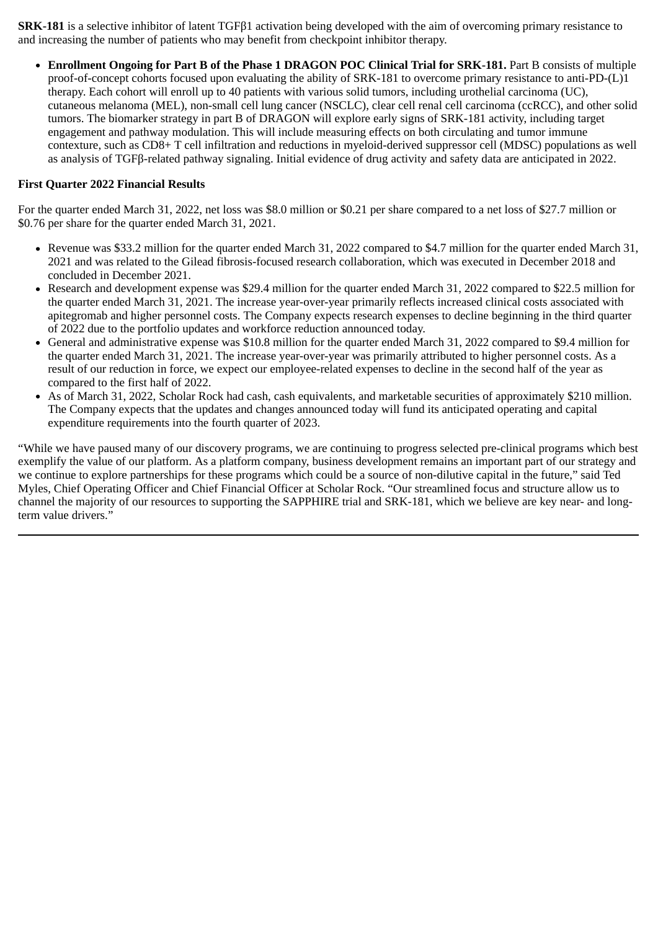**SRK-181** is a selective inhibitor of latent TGFβ1 activation being developed with the aim of overcoming primary resistance to and increasing the number of patients who may benefit from checkpoint inhibitor therapy.

**Enrollment Ongoing for Part B of the Phase 1 DRAGON POC Clinical Trial for SRK-181.** Part B consists of multiple proof-of-concept cohorts focused upon evaluating the ability of SRK-181 to overcome primary resistance to anti-PD-(L)1 therapy. Each cohort will enroll up to 40 patients with various solid tumors, including urothelial carcinoma (UC), cutaneous melanoma (MEL), non-small cell lung cancer (NSCLC), clear cell renal cell carcinoma (ccRCC), and other solid tumors. The biomarker strategy in part B of DRAGON will explore early signs of SRK-181 activity, including target engagement and pathway modulation. This will include measuring effects on both circulating and tumor immune contexture, such as CD8+ T cell infiltration and reductions in myeloid-derived suppressor cell (MDSC) populations as well as analysis of TGFβ-related pathway signaling. Initial evidence of drug activity and safety data are anticipated in 2022.

#### **First Quarter 2022 Financial Results**

For the quarter ended March 31, 2022, net loss was \$8.0 million or \$0.21 per share compared to a net loss of \$27.7 million or \$0.76 per share for the quarter ended March 31, 2021.

- Revenue was \$33.2 million for the quarter ended March 31, 2022 compared to \$4.7 million for the quarter ended March 31, 2021 and was related to the Gilead fibrosis-focused research collaboration, which was executed in December 2018 and concluded in December 2021.
- Research and development expense was \$29.4 million for the quarter ended March 31, 2022 compared to \$22.5 million for the quarter ended March 31, 2021. The increase year-over-year primarily reflects increased clinical costs associated with apitegromab and higher personnel costs. The Company expects research expenses to decline beginning in the third quarter of 2022 due to the portfolio updates and workforce reduction announced today.
- $\bullet$ General and administrative expense was \$10.8 million for the quarter ended March 31, 2022 compared to \$9.4 million for the quarter ended March 31, 2021. The increase year-over-year was primarily attributed to higher personnel costs. As a result of our reduction in force, we expect our employee-related expenses to decline in the second half of the year as compared to the first half of 2022.
- As of March 31, 2022, Scholar Rock had cash, cash equivalents, and marketable securities of approximately \$210 million. The Company expects that the updates and changes announced today will fund its anticipated operating and capital expenditure requirements into the fourth quarter of 2023.

"While we have paused many of our discovery programs, we are continuing to progress selected pre-clinical programs which best exemplify the value of our platform. As a platform company, business development remains an important part of our strategy and we continue to explore partnerships for these programs which could be a source of non-dilutive capital in the future," said Ted Myles, Chief Operating Officer and Chief Financial Officer at Scholar Rock. "Our streamlined focus and structure allow us to channel the majority of our resources to supporting the SAPPHIRE trial and SRK-181, which we believe are key near- and longterm value drivers."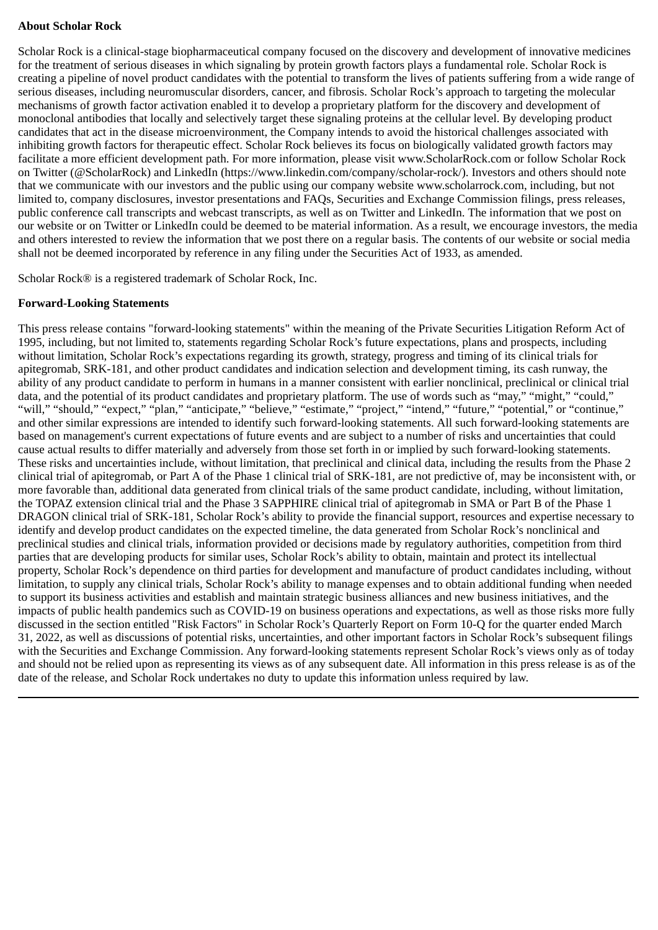#### **About Scholar Rock**

Scholar Rock is a clinical-stage biopharmaceutical company focused on the discovery and development of innovative medicines for the treatment of serious diseases in which signaling by protein growth factors plays a fundamental role. Scholar Rock is creating a pipeline of novel product candidates with the potential to transform the lives of patients suffering from a wide range of serious diseases, including neuromuscular disorders, cancer, and fibrosis. Scholar Rock's approach to targeting the molecular mechanisms of growth factor activation enabled it to develop a proprietary platform for the discovery and development of monoclonal antibodies that locally and selectively target these signaling proteins at the cellular level. By developing product candidates that act in the disease microenvironment, the Company intends to avoid the historical challenges associated with inhibiting growth factors for therapeutic effect. Scholar Rock believes its focus on biologically validated growth factors may facilitate a more efficient development path. For more information, please visit www.ScholarRock.com or follow Scholar Rock on Twitter (@ScholarRock) and LinkedIn (https://www.linkedin.com/company/scholar-rock/). Investors and others should note that we communicate with our investors and the public using our company website www.scholarrock.com, including, but not limited to, company disclosures, investor presentations and FAQs, Securities and Exchange Commission filings, press releases, public conference call transcripts and webcast transcripts, as well as on Twitter and LinkedIn. The information that we post on our website or on Twitter or LinkedIn could be deemed to be material information. As a result, we encourage investors, the media and others interested to review the information that we post there on a regular basis. The contents of our website or social media shall not be deemed incorporated by reference in any filing under the Securities Act of 1933, as amended.

Scholar Rock® is a registered trademark of Scholar Rock, Inc.

#### **Forward-Looking Statements**

This press release contains "forward-looking statements" within the meaning of the Private Securities Litigation Reform Act of 1995, including, but not limited to, statements regarding Scholar Rock's future expectations, plans and prospects, including without limitation, Scholar Rock's expectations regarding its growth, strategy, progress and timing of its clinical trials for apitegromab, SRK-181, and other product candidates and indication selection and development timing, its cash runway, the ability of any product candidate to perform in humans in a manner consistent with earlier nonclinical, preclinical or clinical trial data, and the potential of its product candidates and proprietary platform. The use of words such as "may," "might," "could," "will," "should," "expect," "plan," "anticipate," "believe," "estimate," "project," "intend," "future," "potential," or "continue," and other similar expressions are intended to identify such forward-looking statements. All such forward-looking statements are based on management's current expectations of future events and are subject to a number of risks and uncertainties that could cause actual results to differ materially and adversely from those set forth in or implied by such forward-looking statements. These risks and uncertainties include, without limitation, that preclinical and clinical data, including the results from the Phase 2 clinical trial of apitegromab, or Part A of the Phase 1 clinical trial of SRK-181, are not predictive of, may be inconsistent with, or more favorable than, additional data generated from clinical trials of the same product candidate, including, without limitation, the TOPAZ extension clinical trial and the Phase 3 SAPPHIRE clinical trial of apitegromab in SMA or Part B of the Phase 1 DRAGON clinical trial of SRK-181, Scholar Rock's ability to provide the financial support, resources and expertise necessary to identify and develop product candidates on the expected timeline, the data generated from Scholar Rock's nonclinical and preclinical studies and clinical trials, information provided or decisions made by regulatory authorities, competition from third parties that are developing products for similar uses, Scholar Rock's ability to obtain, maintain and protect its intellectual property, Scholar Rock's dependence on third parties for development and manufacture of product candidates including, without limitation, to supply any clinical trials, Scholar Rock's ability to manage expenses and to obtain additional funding when needed to support its business activities and establish and maintain strategic business alliances and new business initiatives, and the impacts of public health pandemics such as COVID-19 on business operations and expectations, as well as those risks more fully discussed in the section entitled "Risk Factors" in Scholar Rock's Quarterly Report on Form 10-Q for the quarter ended March 31, 2022, as well as discussions of potential risks, uncertainties, and other important factors in Scholar Rock's subsequent filings with the Securities and Exchange Commission. Any forward-looking statements represent Scholar Rock's views only as of today and should not be relied upon as representing its views as of any subsequent date. All information in this press release is as of the date of the release, and Scholar Rock undertakes no duty to update this information unless required by law.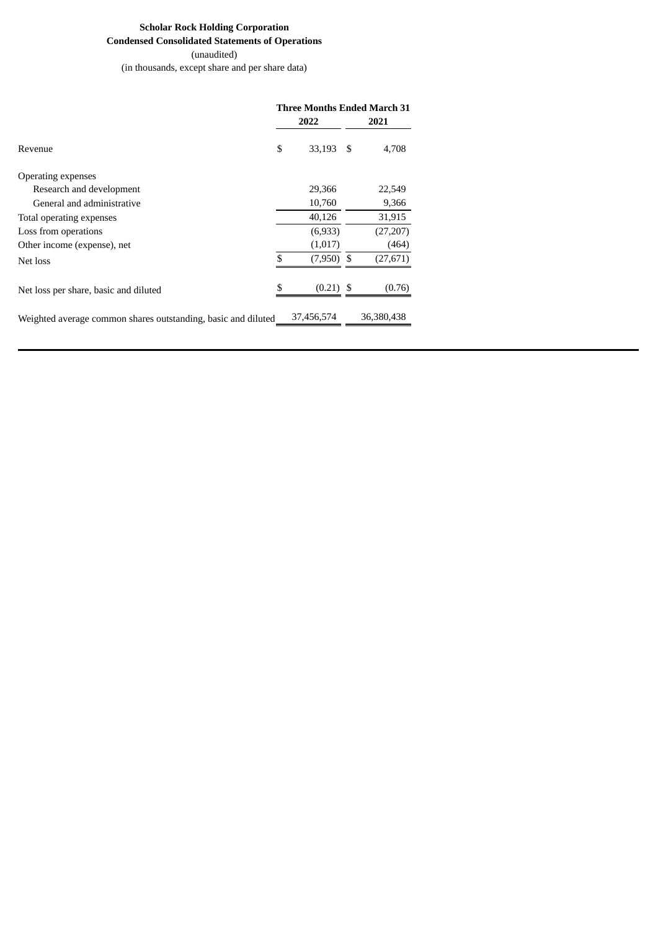## **Scholar Rock Holding Corporation Condensed Consolidated Statements of Operations**

(unaudited)

(in thousands, except share and per share data)

|                                                               | 2022               | <b>Three Months Ended March 31</b><br>2021 |            |
|---------------------------------------------------------------|--------------------|--------------------------------------------|------------|
| Revenue                                                       | \$<br>33,193       | -S                                         | 4,708      |
| <b>Operating expenses</b>                                     |                    |                                            |            |
| Research and development                                      | 29,366             |                                            | 22,549     |
| General and administrative                                    | 10,760             |                                            | 9,366      |
| Total operating expenses                                      | 40,126             |                                            | 31,915     |
| Loss from operations                                          | (6,933)            |                                            | (27, 207)  |
| Other income (expense), net                                   | (1,017)            |                                            | (464)      |
| Net loss                                                      | \$<br>$(7,950)$ \$ |                                            | (27, 671)  |
| Net loss per share, basic and diluted                         | \$<br>$(0.21)$ \$  |                                            | (0.76)     |
| Weighted average common shares outstanding, basic and diluted | 37,456,574         |                                            | 36,380,438 |